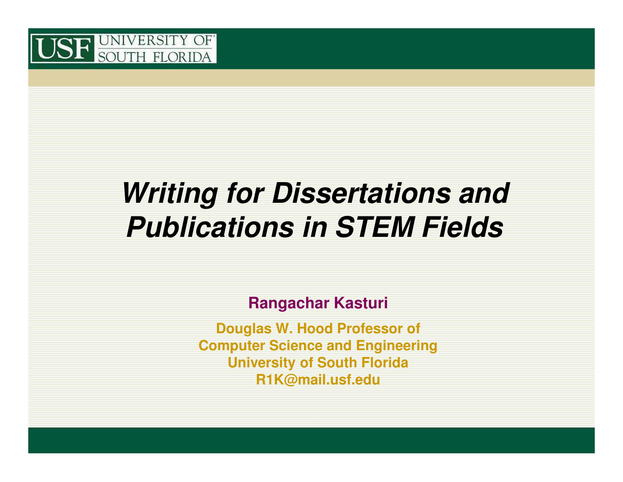

#### **Writing for Dissertations and Publications in STEM Fields**

**Rangachar Kasturi**

**Douglas W. Hood Professor of Computer Science and EngineeringUniversity of South FloridaR1K@mail.usf.edu**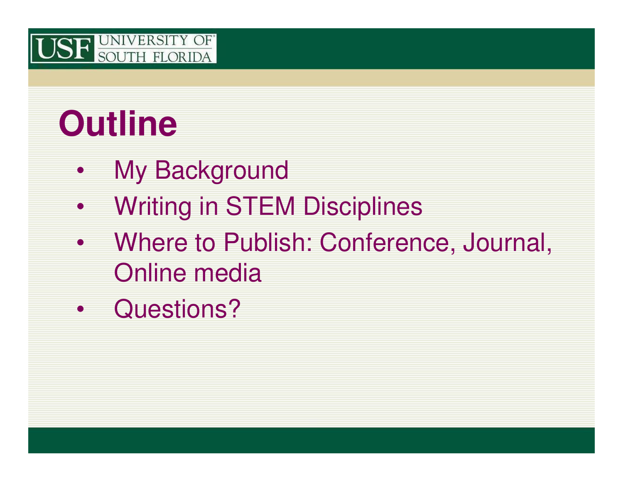

## **Outline**

- $\bullet$ My Background
- •Writing in STEM Disciplines
- $\bullet$  Where to Publish: Conference, Journal, Online media
- $\bullet$ Questions?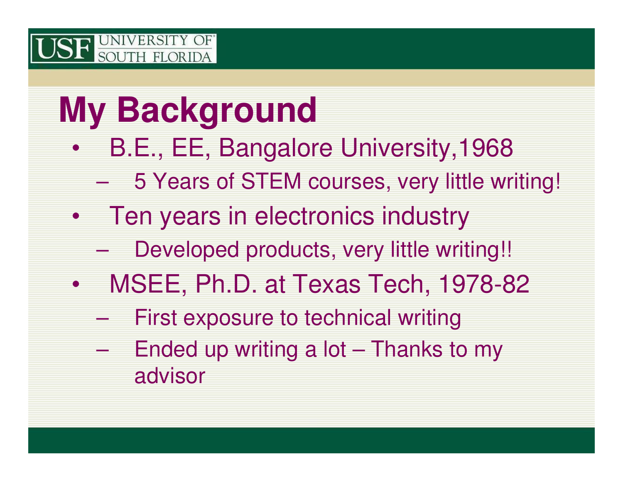## **My Background**

- $\bullet$  B.E., EE, Bangalore University,1968
	- 5 Years of STEM courses, very little writing!  $\mathcal{L}_{\mathcal{A}}$  , and the set of the set of the set of the set of the set of the set of the set of the set of the set of the set of the set of the set of the set of the set of the set of the set of the set of the set of th
- • Ten years in electronics industry
	- $\mathcal{L}_{\mathcal{A}}$ Developed products, very little writing!!
- $\bullet$  MSEE, Ph.D. at Texas Tech, 1978-82
	- $\mathcal{L}_{\mathcal{A}}$  , and the set of the set of the set of the set of the set of the set of the set of the set of the set of the set of the set of the set of the set of the set of the set of the set of the set of the set of th First exposure to technical writing
	- $\mathcal{L}_{\mathcal{A}}$ Ended up writing a  $\text{lot}$  – Thanks to my advisor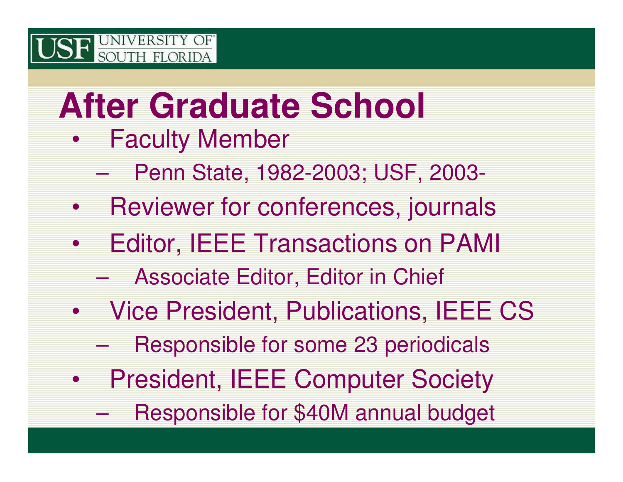## **After Graduate School**

- $\bullet$  Faculty Member
	- –Penn State, 1982-2003; USF, 2003-
- $\bullet$ Reviewer for conferences, journals
- $\bullet$  Editor, IEEE Transactions on PAMI
	- $\mathcal{L}_{\mathcal{A}}$  , and the set of the set of the set of the set of the set of the set of the set of the set of the set of the set of the set of the set of the set of the set of the set of the set of the set of the set of th Associate Editor, Editor in Chief
- $\bullet$  Vice President, Publications, IEEE CS
	- $\mathcal{L}_{\mathcal{A}}$ Responsible for some 23 periodicals
- • President, IEEE Computer Society
	- $\mathcal{L}_{\mathcal{A}}$  , and the set of the set of the set of the set of the set of the set of the set of the set of the set of the set of the set of the set of the set of the set of the set of the set of the set of the set of th Responsible for \$40M annual budget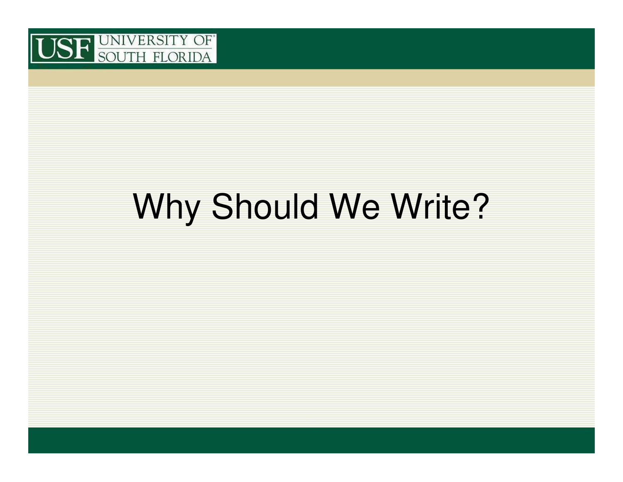

## Why Should We Write?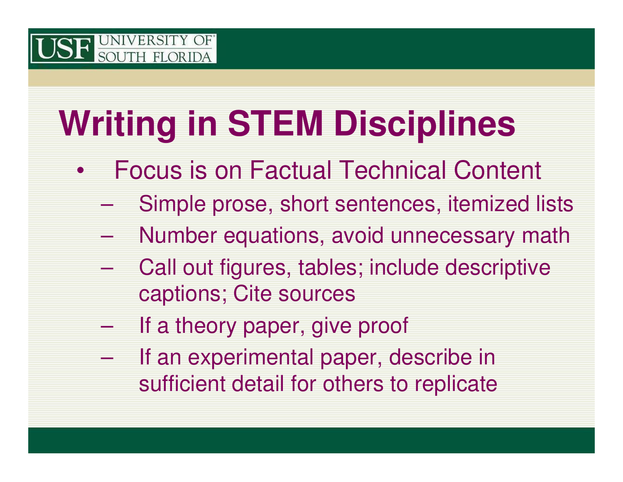## **Writing in STEM Disciplines**

- • Focus is on Factual Technical Content
	- –Simple prose, short sentences, itemized lists
	- $\mathcal{L}_{\mathcal{A}}$  , and the set of the set of the set of the set of the set of the set of the set of the set of the set of the set of the set of the set of the set of the set of the set of the set of the set of the set of th Number equations, avoid unnecessary math
	- – Call out figures, tables; include descriptive captions; Cite sources
	- If a theory paper, give proof
	- $\mathcal{L}_{\mathcal{A}}$  , and the set of the set of the set of the set of the set of the set of the set of the set of the set of the set of the set of the set of the set of the set of the set of the set of the set of the set of th If an experimental paper, describe in sufficient detail for others to replicate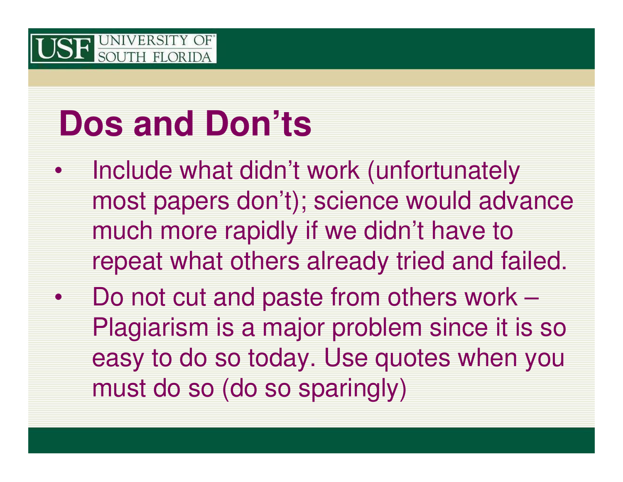## **Dos and Don'ts**

- • Include what didn't work (unfortunately most papers don't); science would advance much more rapidly if we didn't have to repeat what others already tried and failed.
- Do not cut and paste from others work – Plagiarism is a major problem since it is so easy to do so today. Use quotes when you must do so (do so sparingly)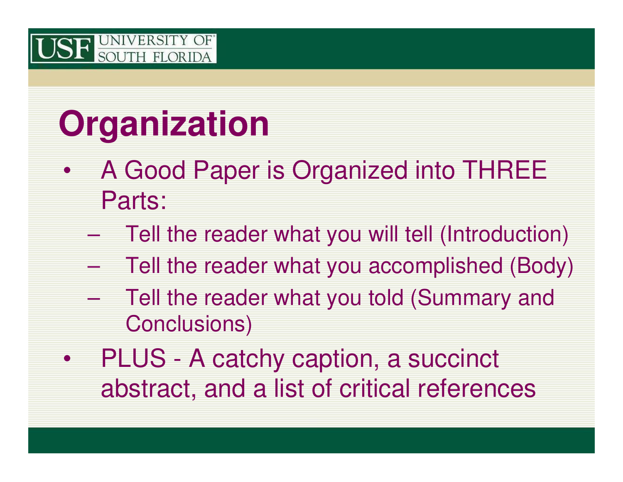## **Organization**

- $\bullet$  A Good Paper is Organized into THREE Parts:
	- $\mathcal{L}_{\mathcal{A}}$  , and the set of the set of the set of the set of the set of the set of the set of the set of the set of the set of the set of the set of the set of the set of the set of the set of the set of the set of th Tell the reader what you will tell (Introduction)
	- –Tell the reader what you accomplished (Body)
	- $\mathcal{L}_{\mathcal{A}}$  , and the set of the set of the set of the set of the set of the set of the set of the set of the set of the set of the set of the set of the set of the set of the set of the set of the set of the set of th Tell the reader what you told (Summary and Conclusions)
- $\bullet$  PLUS - A catchy caption, a succinct abstract, and a list of critical references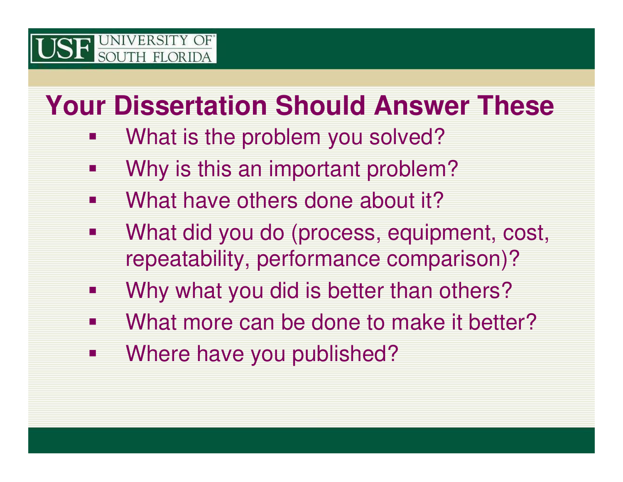#### **Your Dissertation Should Answer These**

- $\mathcal{L}_{\mathcal{A}}$ What is the problem you solved?
- $\mathcal{L}_{\mathcal{A}}$ Why is this an important problem?
- $\blacksquare$ What have others done about it?
- $\mathbb{R}^2$  What did you do (process, equipment, cost, repeatability, performance comparison)?
- $\blacksquare$ Why what you did is better than others?
- $\mathcal{L}_{\mathcal{A}}$ What more can be done to make it better?
- $\mathbb{R}^2$ Where have you published?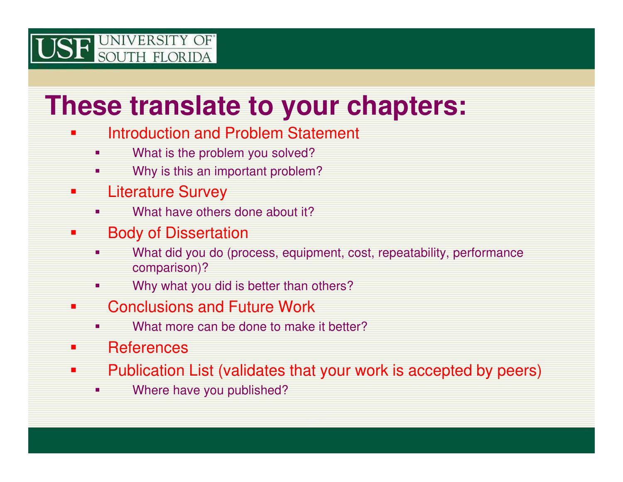#### **These translate to your chapters:**

- **CONTRACTOR**  Introduction and Problem Statement
	- $\blacksquare$ What is the problem you solved?
	- **Why is this an important problem?**  $\blacksquare$
- $\blacksquare$  Literature Survey
	- **•** What have others done about it? п
- π Body of Dissertation
	- **What did you do (process, equipment, cost, repeatability, performance** ٠ comparison)?
	- **Now Why what you did is better than others?** ٠
- π Conclusions and Future Work
	- **What more can be done to make it better?** ٠
- **CONTRACTOR References**
- T. Publication List (validates that your work is accepted by peers)
	- ٠ Where have you published?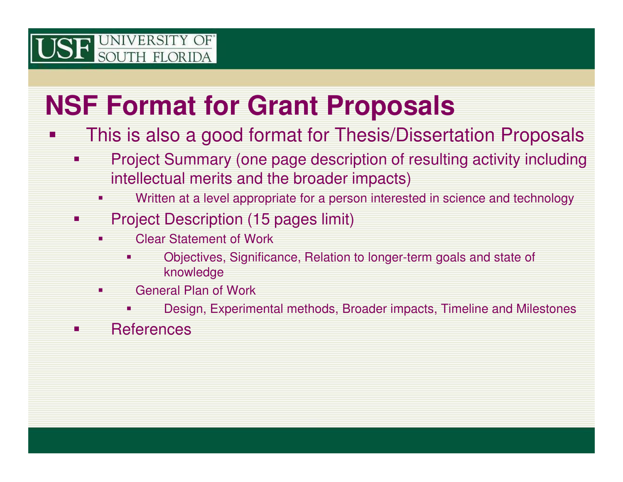#### **NSF Format for Grant Proposals**

- P. This is also a good format for Thesis/Dissertation Proposals
	- **Project Summary (one page description of resulting activity including Service Service** intellectual merits and the broader impacts)
		- П Written at a level appropriate for a person interested in science and technology
	- e<br>S Project Description (15 pages limit)
		- П Clear Statement of Work
			- ٠ Objectives, Significance, Relation to longer-term goals and state of knowledge
		- **General Plan of Work** П
			- □ Design, Experimental methods, Broader impacts, Timeline and Milestones
	- **Service Service References**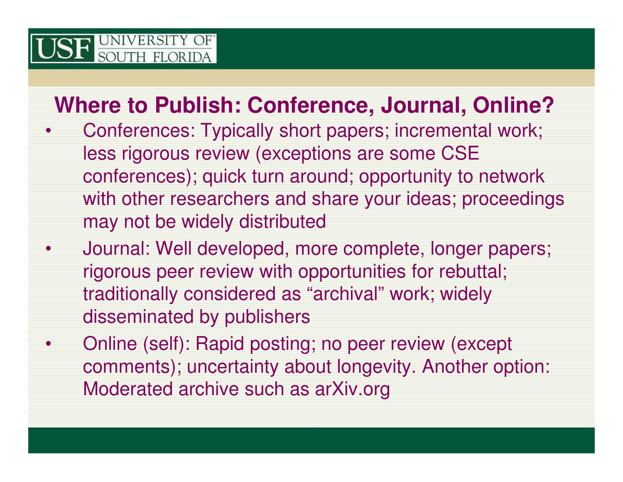•

#### **Where to Publish: Conference, Journal, Online?**

- • Conferences: Typically short papers; incremental work; less rigorous review (exceptions are some CSE conferences); quick turn around; opportunity to network with other researchers and share your ideas; proceedings may not be widely distributed
	- Journal: Well developed, more complete, longer papers; rigorous peer review with opportunities for rebuttal; traditionally considered as "archival" work; widely disseminated by publishers
- • Online (self): Rapid posting; no peer review (except comments); uncertainty about longevity. Another option: Moderated archive such as arXiv.org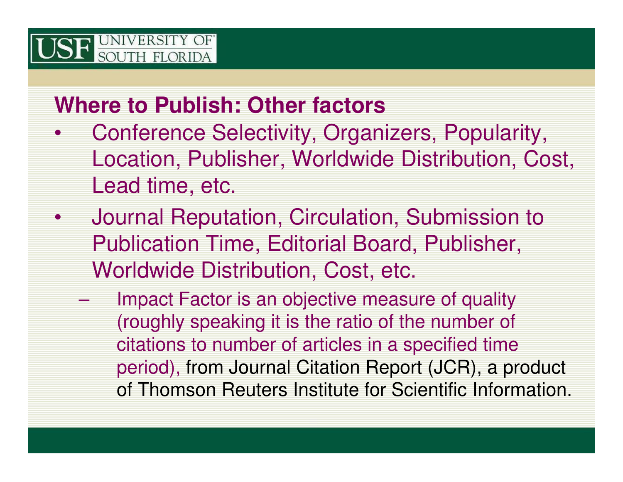#### **Where to Publish: Other factors**

- • Conference Selectivity, Organizers, Popularity, Location, Publisher, Worldwide Distribution, Cost, Lead time, etc.
- • Journal Reputation, Circulation, Submission to Publication Time, Editorial Board, Publisher, Worldwide Distribution, Cost, etc.
	- Impact Factor is an objective measure of quality (roughly speaking it is the ratio of the number of citations to number of articles in a specified time period), from Journal Citation Report (JCR), a product of Thomson Reuters Institute for Scientific Information.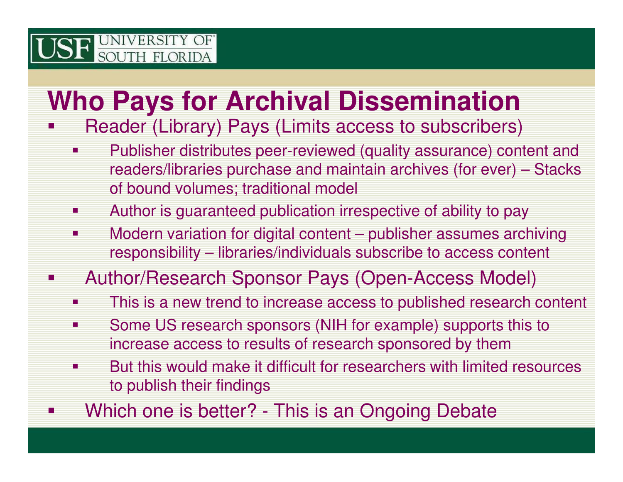#### **Who Pays for Archival Dissemination**

#### P. Reader (Library) Pays (Limits access to subscribers)

- **Service Service**  Publisher distributes peer-reviewed (quality assurance) content and readers/libraries purchase and maintain archives (for ever) – Stacks of bound volumes; traditional model
- $\mathcal{L}_{\mathcal{A}}$ Author is guaranteed publication irrespective of ability to pay
- $\mathcal{L}_{\mathcal{A}}$  Modern variation for digital content – publisher assumes archiving responsibility – libraries/individuals subscribe to access content
- P. Author/Research Sponsor Pays (Open-Access Model)
	- $\mathcal{L}_{\mathcal{A}}$ This is a new trend to increase access to published research content
	- Ξ Some US research sponsors (NIH for example) supports this to increase access to results of research sponsored by them
	- **But this would make it difficult for researchers with limited resources Service Service** to publish their findings
- P. Which one is better? - This is an Ongoing Debate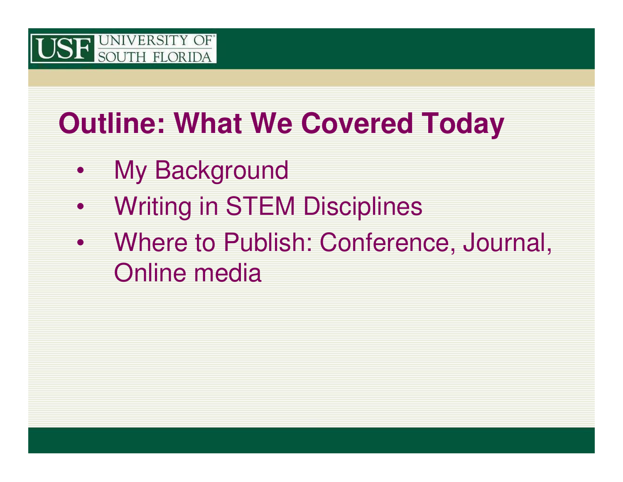

### **Outline: What We Covered Today**

- •My Background
- •Writing in STEM Disciplines
- $\bullet$  Where to Publish: Conference, Journal, Online media